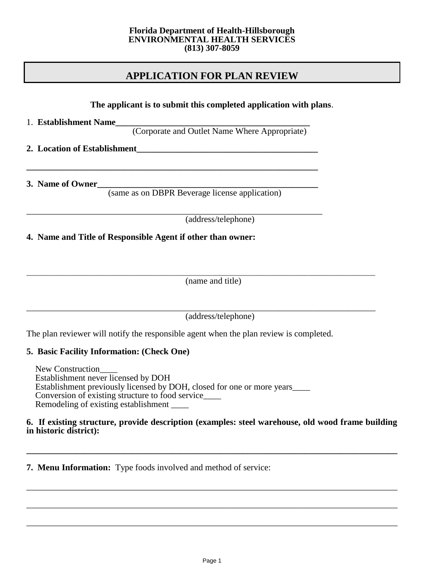### **APPLICATION FOR PLAN REVIEW**

**The applicant is to submit this completed application with plans**. 1. **Establishment Name\_\_\_\_\_\_\_\_\_\_\_\_\_\_\_\_\_\_\_\_\_\_\_\_\_\_\_\_\_\_\_\_\_\_\_\_\_\_\_\_\_\_\_\_** (Corporate and Outlet Name Where Appropriate) **2. Location of Establishment\_\_\_\_\_\_\_\_\_\_\_\_\_\_\_\_\_\_\_\_\_\_\_\_\_\_\_\_\_\_\_\_\_\_\_\_\_\_\_\_\_ \_\_\_\_\_\_\_\_\_\_\_\_\_\_\_\_\_\_\_\_\_\_\_\_\_\_\_\_\_\_\_\_\_\_\_\_\_\_\_\_\_\_\_\_\_\_\_\_\_\_\_\_\_\_\_\_\_\_\_\_\_\_\_\_\_\_ 3. Name of Owner\_\_\_\_\_\_\_\_\_\_\_\_\_\_\_\_\_\_\_\_\_\_\_\_\_\_\_\_\_\_\_\_\_\_\_\_\_\_\_\_\_\_\_\_\_\_\_\_\_\_** (same as on DBPR Beverage license application) \_\_\_\_\_\_\_\_\_\_\_\_\_\_\_\_\_\_\_\_\_\_\_\_\_\_\_\_\_\_\_\_\_\_\_\_\_\_\_\_\_\_\_\_\_\_\_\_\_\_\_\_\_\_\_\_\_\_\_\_\_\_\_\_\_\_\_ (address/telephone) **4. Name and Title of Responsible Agent if other than owner:** \_\_\_\_\_\_\_\_\_\_\_\_\_\_\_\_\_\_\_\_\_\_\_\_\_\_\_\_\_\_\_\_\_\_\_\_\_\_\_\_\_\_\_\_\_\_\_\_\_\_\_\_\_\_\_\_\_\_\_\_\_\_\_\_\_\_\_\_\_\_\_\_\_\_\_\_\_\_\_\_\_\_\_\_\_\_\_\_\_\_\_\_\_\_ (name and title)

\_\_\_\_\_\_\_\_\_\_\_\_\_\_\_\_\_\_\_\_\_\_\_\_\_\_\_\_\_\_\_\_\_\_\_\_\_\_\_\_\_\_\_\_\_\_\_\_\_\_\_\_\_\_\_\_\_\_\_\_\_\_\_\_\_\_\_\_\_\_\_\_\_\_\_\_\_\_\_ (address/telephone)

The plan reviewer will notify the responsible agent when the plan review is completed.

### **5. Basic Facility Information: (Check One)**

 New Construction\_\_\_\_ Establishment never licensed by DOH Establishment previously licensed by DOH, closed for one or more years\_\_\_\_ Conversion of existing structure to food service\_\_\_\_ Remodeling of existing establishment \_\_\_\_

#### **6. If existing structure, provide description (examples: steel warehouse, old wood frame building in historic district):**

**\_\_\_\_\_\_\_\_\_\_\_\_\_\_\_\_\_\_\_\_\_\_\_\_\_\_\_\_\_\_\_\_\_\_\_\_\_\_\_\_\_\_\_\_\_\_\_\_\_\_\_\_\_\_\_\_\_\_\_\_\_\_\_\_\_\_\_\_\_\_\_\_\_\_\_\_\_\_\_\_\_\_\_\_**

\_\_\_\_\_\_\_\_\_\_\_\_\_\_\_\_\_\_\_\_\_\_\_\_\_\_\_\_\_\_\_\_\_\_\_\_\_\_\_\_\_\_\_\_\_\_\_\_\_\_\_\_\_\_\_\_\_\_\_\_\_\_\_\_\_\_\_\_\_\_\_\_\_\_\_\_\_\_\_\_\_\_\_\_

\_\_\_\_\_\_\_\_\_\_\_\_\_\_\_\_\_\_\_\_\_\_\_\_\_\_\_\_\_\_\_\_\_\_\_\_\_\_\_\_\_\_\_\_\_\_\_\_\_\_\_\_\_\_\_\_\_\_\_\_\_\_\_\_\_\_\_\_\_\_\_\_\_\_\_\_\_\_\_\_\_\_\_\_

\_\_\_\_\_\_\_\_\_\_\_\_\_\_\_\_\_\_\_\_\_\_\_\_\_\_\_\_\_\_\_\_\_\_\_\_\_\_\_\_\_\_\_\_\_\_\_\_\_\_\_\_\_\_\_\_\_\_\_\_\_\_\_\_\_\_\_\_\_\_\_\_\_\_\_\_\_\_\_\_\_\_\_\_

**7. Menu Information:** Type foods involved and method of service: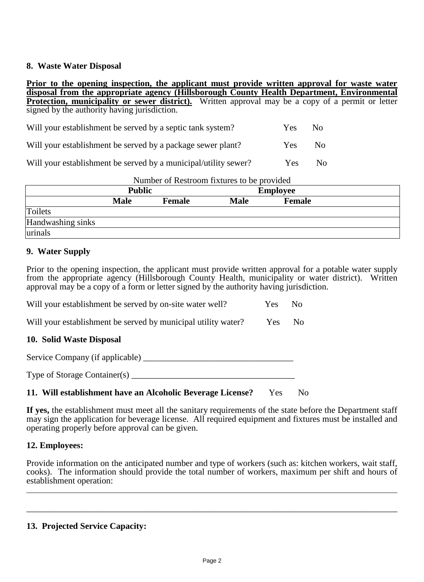#### **8. Waste Water Disposal**

**Prior to the opening inspection, the applicant must provide written approval for waste water disposal from the appropriate agency (Hillsborough County Health Department, Environmental Protection, municipality or sewer district).** Written approval may be a copy of a permit or letter signed by the authority having jurisdiction.

| Will your establishment be served by a septic tank system?  | <b>Yes</b> | - No |
|-------------------------------------------------------------|------------|------|
| Will your establishment be served by a package sewer plant? | Yes:       | No.  |

Will your establishment be served by a municipal/utility sewer? Yes No

| Number of Restroom fixtures to be provided |               |               |                 |               |  |  |
|--------------------------------------------|---------------|---------------|-----------------|---------------|--|--|
|                                            | <b>Public</b> |               | <b>Employee</b> |               |  |  |
|                                            | <b>Male</b>   | <b>Female</b> | <b>Male</b>     | <b>Female</b> |  |  |
| Toilets                                    |               |               |                 |               |  |  |
| Handwashing sinks                          |               |               |                 |               |  |  |
| urinals                                    |               |               |                 |               |  |  |

### **9. Water Supply**

Prior to the opening inspection, the applicant must provide written approval for a potable water supply from the appropriate agency (Hillsborough County Health, municipality or water district). Written approval may be a copy of a form or letter signed by the authority having jurisdiction.

Will your establishment be served by municipal utility water? Yes No

### **10. Solid Waste Disposal**

Service Company (if applicable) \_\_\_\_\_\_\_\_\_\_\_\_\_\_\_\_\_\_\_\_\_\_\_\_\_\_\_\_\_\_\_\_\_\_

Type of Storage Container(s) \_\_\_\_\_\_\_\_\_\_\_\_\_\_\_\_\_\_\_\_\_\_\_\_\_\_\_\_\_\_\_\_\_\_\_\_\_

### **11. Will establishment have an Alcoholic Beverage License?** Yes No

**If yes,** the establishment must meet all the sanitary requirements of the state before the Department staff may sign the application for beverage license. All required equipment and fixtures must be installed and operating properly before approval can be given.

### **12. Employees:**

Provide information on the anticipated number and type of workers (such as: kitchen workers, wait staff, cooks). The information should provide the total number of workers, maximum per shift and hours of establishment operation:

\_\_\_\_\_\_\_\_\_\_\_\_\_\_\_\_\_\_\_\_\_\_\_\_\_\_\_\_\_\_\_\_\_\_\_\_\_\_\_\_\_\_\_\_\_\_\_\_\_\_\_\_\_\_\_\_\_\_\_\_\_\_\_\_\_\_\_\_\_\_\_\_\_\_\_\_\_\_\_\_\_\_\_\_\_\_\_\_\_\_\_\_\_\_\_\_\_\_\_\_

\_\_\_\_\_\_\_\_\_\_\_\_\_\_\_\_\_\_\_\_\_\_\_\_\_\_\_\_\_\_\_\_\_\_\_\_\_\_\_\_\_\_\_\_\_\_\_\_\_\_\_\_\_\_\_\_\_\_\_\_\_\_\_\_\_\_\_\_\_\_\_\_\_\_\_\_\_\_\_\_\_\_\_\_

### **13. Projected Service Capacity:**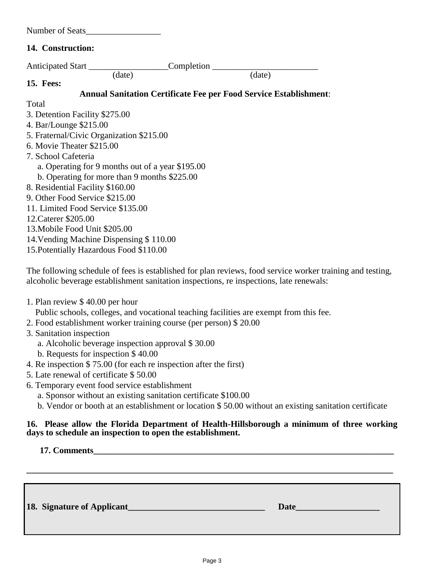| Number of Seats |  |  |
|-----------------|--|--|
|                 |  |  |

### **14. Construction:**

| Anticipated Start                 |                                                  | Completion |                                                                          |
|-----------------------------------|--------------------------------------------------|------------|--------------------------------------------------------------------------|
|                                   | (date)                                           |            | (date)                                                                   |
| <b>15. Fees:</b>                  |                                                  |            |                                                                          |
|                                   |                                                  |            | <b>Annual Sanitation Certificate Fee per Food Service Establishment:</b> |
| Total                             |                                                  |            |                                                                          |
| 3. Detention Facility \$275.00    |                                                  |            |                                                                          |
| 4. Bar/Lounge \$215.00            |                                                  |            |                                                                          |
|                                   | 5. Fraternal/Civic Organization \$215.00         |            |                                                                          |
| 6. Movie Theater \$215.00         |                                                  |            |                                                                          |
| 7. School Cafeteria               |                                                  |            |                                                                          |
|                                   | a. Operating for 9 months out of a year \$195.00 |            |                                                                          |
|                                   | b. Operating for more than 9 months \$225.00     |            |                                                                          |
| 8. Residential Facility \$160.00  |                                                  |            |                                                                          |
| 9. Other Food Service \$215.00    |                                                  |            |                                                                          |
| 11. Limited Food Service \$135.00 |                                                  |            |                                                                          |
| 12. Caterer \$205.00              |                                                  |            |                                                                          |
| 13. Mobile Food Unit \$205.00     |                                                  |            |                                                                          |
|                                   | 14. Vending Machine Dispensing \$110.00          |            |                                                                          |
|                                   | 15. Potentially Hazardous Food \$110.00          |            |                                                                          |
|                                   |                                                  |            |                                                                          |

The following schedule of fees is established for plan reviews, food service worker training and testing, alcoholic beverage establishment sanitation inspections, re inspections, late renewals:

- 1. Plan review \$ 40.00 per hour
	- Public schools, colleges, and vocational teaching facilities are exempt from this fee.
- 2. Food establishment worker training course (per person) \$ 20.00
- 3. Sanitation inspection
	- a. Alcoholic beverage inspection approval \$ 30.00
	- b. Requests for inspection \$ 40.00
- 4. Re inspection \$ 75.00 (for each re inspection after the first)
- 5. Late renewal of certificate \$ 50.00
- 6. Temporary event food service establishment
	- a. Sponsor without an existing sanitation certificate \$100.00
	- b. Vendor or booth at an establishment or location \$ 50.00 without an existing sanitation certificate

### **16. Please allow the Florida Department of Health-Hillsborough a minimum of three working days to schedule an inspection to open the establishment.**

**17. Comments\_\_\_\_\_\_\_\_\_\_\_\_\_\_\_\_\_\_\_\_\_\_\_\_\_\_\_\_\_\_\_\_\_\_\_\_\_\_\_\_\_\_\_\_\_\_\_\_\_\_\_\_\_\_\_\_\_\_\_\_\_\_\_\_\_\_\_\_**

**18. Signature of Applicant\_\_\_\_\_\_\_\_\_\_\_\_\_\_\_\_\_\_\_\_\_\_\_\_\_\_\_\_\_\_\_ Date\_\_\_\_\_\_\_\_\_\_\_\_\_\_\_\_\_\_\_**

**\_\_\_\_\_\_\_\_\_\_\_\_\_\_\_\_\_\_\_\_\_\_\_\_\_\_\_\_\_\_\_\_\_\_\_\_\_\_\_\_\_\_\_\_\_\_\_\_\_\_\_\_\_\_\_\_\_\_\_\_\_\_\_\_\_\_\_\_\_\_\_\_\_\_\_\_\_\_\_\_\_\_\_**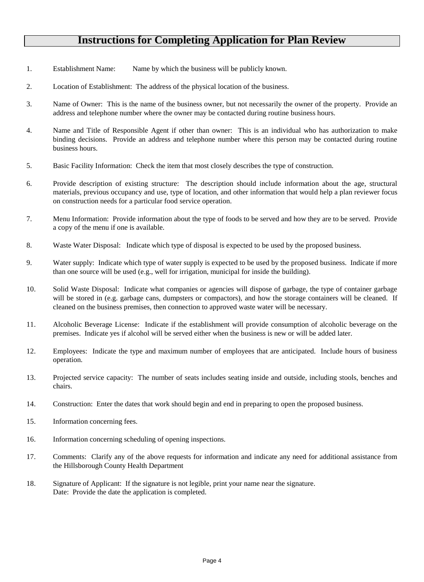# **Instructions for Completing Application for Plan Review**

- 1. Establishment Name: Name by which the business will be publicly known.
- 2. Location of Establishment: The address of the physical location of the business.
- 3. Name of Owner: This is the name of the business owner, but not necessarily the owner of the property. Provide an address and telephone number where the owner may be contacted during routine business hours.
- 4. Name and Title of Responsible Agent if other than owner: This is an individual who has authorization to make binding decisions. Provide an address and telephone number where this person may be contacted during routine business hours.
- 5. Basic Facility Information: Check the item that most closely describes the type of construction.
- 6. Provide description of existing structure: The description should include information about the age, structural materials, previous occupancy and use, type of location, and other information that would help a plan reviewer focus on construction needs for a particular food service operation.
- 7. Menu Information: Provide information about the type of foods to be served and how they are to be served. Provide a copy of the menu if one is available.
- 8. Waste Water Disposal: Indicate which type of disposal is expected to be used by the proposed business.
- 9. Water supply: Indicate which type of water supply is expected to be used by the proposed business. Indicate if more than one source will be used (e.g., well for irrigation, municipal for inside the building).
- 10. Solid Waste Disposal: Indicate what companies or agencies will dispose of garbage, the type of container garbage will be stored in (e.g. garbage cans, dumpsters or compactors), and how the storage containers will be cleaned. If cleaned on the business premises, then connection to approved waste water will be necessary.
- 11. Alcoholic Beverage License: Indicate if the establishment will provide consumption of alcoholic beverage on the premises. Indicate yes if alcohol will be served either when the business is new or will be added later.
- 12. Employees: Indicate the type and maximum number of employees that are anticipated. Include hours of business operation.
- 13. Projected service capacity: The number of seats includes seating inside and outside, including stools, benches and chairs.
- 14. Construction: Enter the dates that work should begin and end in preparing to open the proposed business.
- 15. Information concerning fees.
- 16. Information concerning scheduling of opening inspections.
- 17. Comments: Clarify any of the above requests for information and indicate any need for additional assistance from the Hillsborough County Health Department
- 18. Signature of Applicant: If the signature is not legible, print your name near the signature. Date: Provide the date the application is completed.